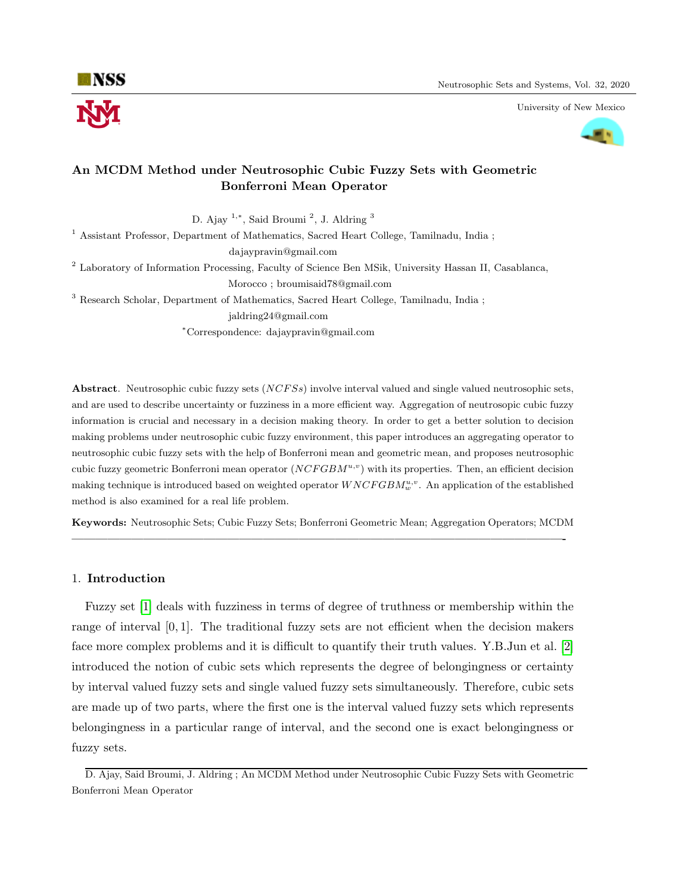

University of New Mexico



## An MCDM Method under Neutrosophic Cubic Fuzzy Sets with Geometric Bonferroni Mean Operator

D. Ajay <sup>1</sup>,<sup>∗</sup>, Said Broumi <sup>2</sup>, J. Aldring <sup>3</sup>

<sup>1</sup> Assistant Professor, Department of Mathematics, Sacred Heart College, Tamilnadu, India ;

dajaypravin@gmail.com

<sup>2</sup> Laboratory of Information Processing, Faculty of Science Ben MSik, University Hassan II, Casablanca, Morocco ; broumisaid78@gmail.com

<sup>3</sup> Research Scholar, Department of Mathematics, Sacred Heart College, Tamilnadu, India ;

jaldring24@gmail.com

<sup>∗</sup>Correspondence: dajaypravin@gmail.com

Abstract. Neutrosophic cubic fuzzy sets (NCFSs) involve interval valued and single valued neutrosophic sets, and are used to describe uncertainty or fuzziness in a more efficient way. Aggregation of neutrosopic cubic fuzzy information is crucial and necessary in a decision making theory. In order to get a better solution to decision making problems under neutrosophic cubic fuzzy environment, this paper introduces an aggregating operator to neutrosophic cubic fuzzy sets with the help of Bonferroni mean and geometric mean, and proposes neutrosophic cubic fuzzy geometric Bonferroni mean operator  $(NCFGBM^{u,v})$  with its properties. Then, an efficient decision making technique is introduced based on weighted operator  $WNCFGBM_w^{u,v}$ . An application of the established method is also examined for a real life problem.

Keywords: Neutrosophic Sets; Cubic Fuzzy Sets; Bonferroni Geometric Mean; Aggregation Operators; MCDM —————————————————————————————————————————-

## 1. Introduction

Fuzzy set [\[1\]](#page-13-0) deals with fuzziness in terms of degree of truthness or membership within the range of interval [0, 1]. The traditional fuzzy sets are not efficient when the decision makers face more complex problems and it is difficult to quantify their truth values. Y.B.Jun et al. [\[2\]](#page-14-0) introduced the notion of cubic sets which represents the degree of belongingness or certainty by interval valued fuzzy sets and single valued fuzzy sets simultaneously. Therefore, cubic sets are made up of two parts, where the first one is the interval valued fuzzy sets which represents belongingness in a particular range of interval, and the second one is exact belongingness or fuzzy sets.

D. Ajay, Said Broumi, J. Aldring ; An MCDM Method under Neutrosophic Cubic Fuzzy Sets with Geometric Bonferroni Mean Operator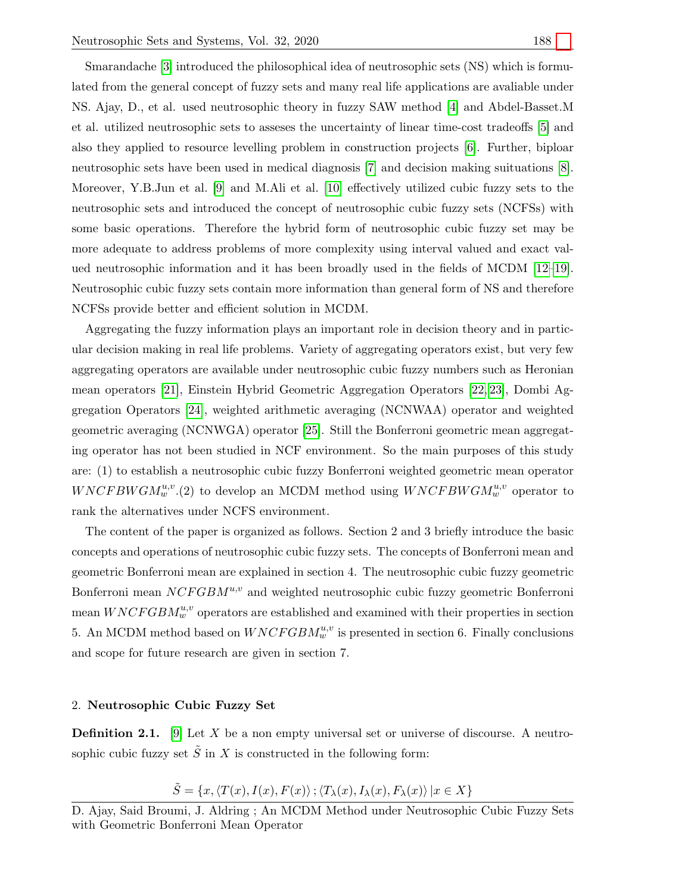Smarandache [\[3\]](#page-14-1) introduced the philosophical idea of neutrosophic sets (NS) which is formulated from the general concept of fuzzy sets and many real life applications are avaliable under NS. Ajay, D., et al. used neutrosophic theory in fuzzy SAW method [\[4\]](#page-14-2) and Abdel-Basset.M et al. utilized neutrosophic sets to asseses the uncertainty of linear time-cost tradeoffs [\[5\]](#page-14-3) and also they applied to resource levelling problem in construction projects [\[6\]](#page-14-4). Further, biploar neutrosophic sets have been used in medical diagnosis [\[7\]](#page-14-5) and decision making suituations [\[8\]](#page-14-6). Moreover, Y.B.Jun et al. [\[9\]](#page-14-7) and M.Ali et al. [\[10\]](#page-14-8) effectively utilized cubic fuzzy sets to the neutrosophic sets and introduced the concept of neutrosophic cubic fuzzy sets (NCFSs) with some basic operations. Therefore the hybrid form of neutrosophic cubic fuzzy set may be more adequate to address problems of more complexity using interval valued and exact valued neutrosophic information and it has been broadly used in the fields of MCDM [\[12–](#page-14-9)[19\]](#page-14-10). Neutrosophic cubic fuzzy sets contain more information than general form of NS and therefore NCFSs provide better and efficient solution in MCDM.

Aggregating the fuzzy information plays an important role in decision theory and in particular decision making in real life problems. Variety of aggregating operators exist, but very few aggregating operators are available under neutrosophic cubic fuzzy numbers such as Heronian mean operators [\[21\]](#page-14-11), Einstein Hybrid Geometric Aggregation Operators [\[22,](#page-14-12) [23\]](#page-15-0), Dombi Aggregation Operators [\[24\]](#page-15-1), weighted arithmetic averaging (NCNWAA) operator and weighted geometric averaging (NCNWGA) operator [\[25\]](#page-15-2). Still the Bonferroni geometric mean aggregating operator has not been studied in NCF environment. So the main purposes of this study are: (1) to establish a neutrosophic cubic fuzzy Bonferroni weighted geometric mean operator  $WNCFBWGM_w^{u,v}.(2)$  to develop an MCDM method using  $WNCFBWGM_w^{u,v}$  operator to rank the alternatives under NCFS environment.

The content of the paper is organized as follows. Section 2 and 3 briefly introduce the basic concepts and operations of neutrosophic cubic fuzzy sets. The concepts of Bonferroni mean and geometric Bonferroni mean are explained in section 4. The neutrosophic cubic fuzzy geometric Bonferroni mean  $NCFGBM^{u,v}$  and weighted neutrosophic cubic fuzzy geometric Bonferroni mean  $WNCFGBM_w^{u,v}$  operators are established and examined with their properties in section 5. An MCDM method based on  $WNCFGBM_w^{u,v}$  is presented in section 6. Finally conclusions and scope for future research are given in section 7.

#### 2. Neutrosophic Cubic Fuzzy Set

**Definition 2.1.** [\[9\]](#page-14-7) Let X be a non empty universal set or universe of discourse. A neutrosophic cubic fuzzy set  $\tilde{S}$  in X is constructed in the following form:

$$
\tilde{S} = \{x, \langle T(x), I(x), F(x) \rangle; \langle T_{\lambda}(x), I_{\lambda}(x), F_{\lambda}(x) \rangle \, | x \in X \}
$$

D. Ajay, Said Broumi, J. Aldring ; An MCDM Method under Neutrosophic Cubic Fuzzy Sets with Geometric Bonferroni Mean Operator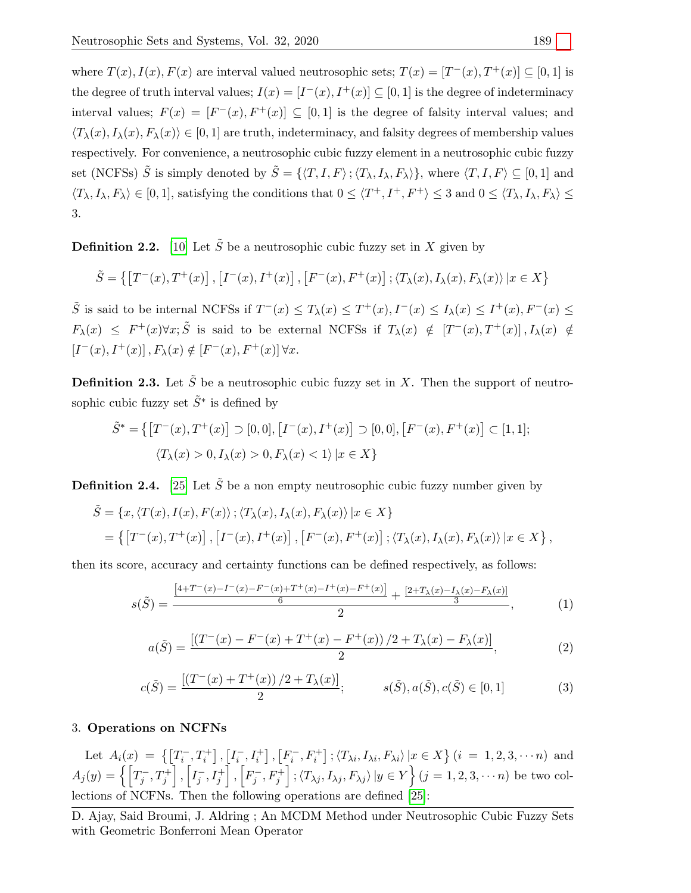where  $T(x)$ ,  $I(x)$ ,  $F(x)$  are interval valued neutrosophic sets;  $T(x) = [T^-(x), T^+(x)] \subseteq [0, 1]$  is the degree of truth interval values;  $I(x) = [I^-(x), I^+(x)] \subseteq [0, 1]$  is the degree of indeterminacy interval values;  $F(x) = [F^-(x), F^+(x)] \subseteq [0,1]$  is the degree of falsity interval values; and  $\langle T_{\lambda}(x), I_{\lambda}(x), F_{\lambda}(x)\rangle \in [0, 1]$  are truth, indeterminacy, and falsity degrees of membership values respectively. For convenience, a neutrosophic cubic fuzzy element in a neutrosophic cubic fuzzy set (NCFSs)  $\tilde{S}$  is simply denoted by  $\tilde{S} = \{ \langle T, I, F \rangle; \langle T_{\lambda}, I_{\lambda}, F_{\lambda} \rangle \}$ , where  $\langle T, I, F \rangle \subseteq [0, 1]$  and  $\langle T_{\lambda}, I_{\lambda}, F_{\lambda} \rangle \in [0, 1],$  satisfying the conditions that  $0 \leq \langle T^+, I^+, F^+ \rangle \leq 3$  and  $0 \leq \langle T_{\lambda}, I_{\lambda}, F_{\lambda} \rangle \leq$ 3.

**Definition 2.2.** [\[10\]](#page-14-8) Let  $\tilde{S}$  be a neutrosophic cubic fuzzy set in X given by

$$
\tilde{S} = \left\{ \left[ T^-(x), T^+(x) \right], \left[ I^-(x), I^+(x) \right], \left[ F^-(x), F^+(x) \right], \langle T_\lambda(x), I_\lambda(x), F_\lambda(x) \rangle \, | x \in X \right\}
$$

 $\tilde{S}$  is said to be internal NCFSs if  $T^-(x) \leq T_\lambda(x) \leq T^+(x)$ ,  $I^-(x) \leq I_\lambda(x) \leq I^+(x)$ ,  $F^-(x) \leq$  $F_{\lambda}(x) \leq F^{+}(x)\forall x;\tilde{S}$  is said to be external NCFSs if  $T_{\lambda}(x) \notin [T^{-}(x), T^{+}(x)], I_{\lambda}(x) \notin$  $[I^-(x), I^+(x)]$ ,  $F_\lambda(x) \notin [F^-(x), F^+(x)] \forall x$ .

**Definition 2.3.** Let  $\tilde{S}$  be a neutrosophic cubic fuzzy set in X. Then the support of neutrosophic cubic fuzzy set  $\tilde{S}^*$  is defined by

$$
\tilde{S}^* = \{ [T^-(x), T^+(x)] \supset [0, 0], [I^-(x), I^+(x)] \supset [0, 0], [F^-(x), F^+(x)] \subset [1, 1];
$$
  

$$
\langle T_\lambda(x) > 0, I_\lambda(x) > 0, F_\lambda(x) < 1 \rangle | x \in X \}
$$

**Definition 2.4.** [\[25\]](#page-15-2) Let  $\tilde{S}$  be a non empty neutrosophic cubic fuzzy number given by

$$
\tilde{S} = \{x, \langle T(x), I(x), F(x) \rangle; \langle T_{\lambda}(x), I_{\lambda}(x), F_{\lambda}(x) \rangle | x \in X\}
$$
  
= 
$$
\{ [T^-(x), T^+(x)] , [I^-(x), I^+(x)] , [F^-(x), F^+(x)] ; \langle T_{\lambda}(x), I_{\lambda}(x), F_{\lambda}(x) \rangle | x \in X \},
$$

then its score, accuracy and certainty functions can be defined respectively, as follows:

$$
s(\tilde{S}) = \frac{\frac{[4+T^-(x)-T^-(x)-F^-(x)+T^+(x)-T^+(x)-F^+(x)]}{6} + \frac{[2+T_\lambda(x)-T_\lambda(x)-F_\lambda(x)]}{3}}{2}, \tag{1}
$$

$$
a(\tilde{S}) = \frac{\left[ (T^-(x) - F^-(x) + T^+(x) - F^+(x)) / 2 + T_\lambda(x) - F_\lambda(x) \right]}{2},\tag{2}
$$

$$
c(\tilde{S}) = \frac{[(T^-(x) + T^+(x))/2 + T_\lambda(x)]}{2}; \qquad s(\tilde{S}), a(\tilde{S}), c(\tilde{S}) \in [0, 1]
$$
 (3)

## 3. Operations on NCFNs

Let  $A_i(x) = \{ [T_i^-, T_i^+] , [I_i^-, I_i^+] , [F_i^-, F_i^+] ; \langle T_{\lambda i}, I_{\lambda i}, F_{\lambda i} \rangle | x \in X \} (i = 1, 2, 3, \dots n)$  and  $A_j(y)=\left\{\left[T_j^-,T_j^+\right],\left[I_j^-,I_j^+\right],\left[F_j^-,F_j^+\right];\left\langle T_{\lambda j},I_{\lambda j},F_{\lambda j}\right\rangle|y\in Y\right\}(j=1,2,3,\cdots n) \text{ be two col-}$ lections of NCFNs. Then the following operations are defined [\[25\]](#page-15-2):

D. Ajay, Said Broumi, J. Aldring ; An MCDM Method under Neutrosophic Cubic Fuzzy Sets with Geometric Bonferroni Mean Operator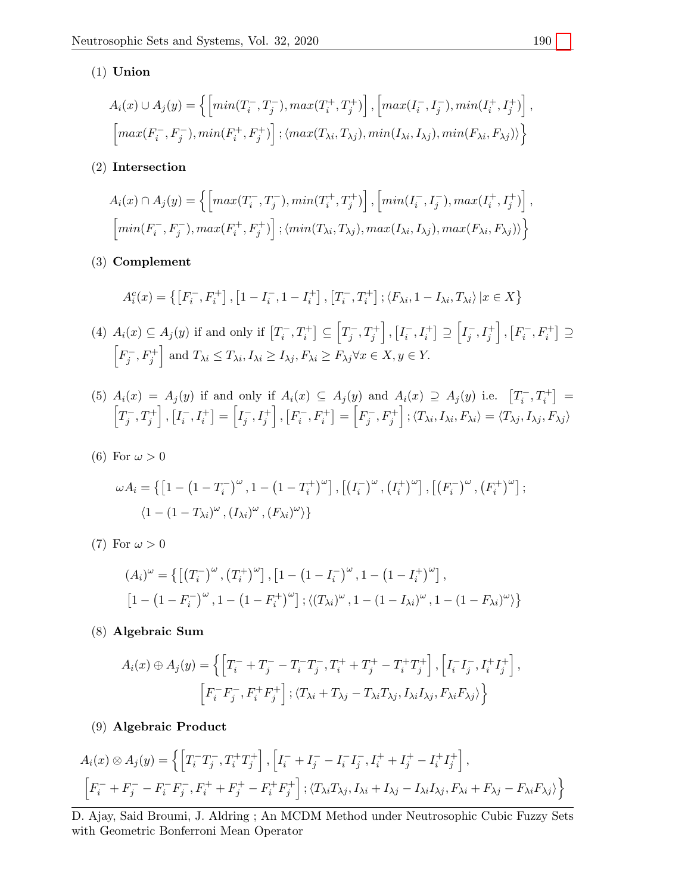## (1) Union

$$
A_i(x) \cup A_j(y) = \left\{ \left[ min(T_i^-, T_j^-), max(T_i^+, T_j^+) \right], \left[ max(T_i^-, T_j^-), min(T_i^+, T_j^+) \right], \left[ max(F_i^-, F_j^-), min(F_i^+, F_j^+) \right]; \langle max(T_{\lambda i}, T_{\lambda j}), min(T_{\lambda i}, T_{\lambda j}), min(F_{\lambda i}, F_{\lambda j}) \rangle \right\}
$$

(2) Intersection

$$
A_i(x) \cap A_j(y) = \left\{ \left[ max(T_i^-, T_j^-), min(T_i^+, T_j^+) \right], \left[ min(I_i^-, I_j^-), max(I_i^+, I_j^+) \right], \left[ min(F_i^-, F_j^-), max(F_i^+, F_j^+) \right]; \langle min(T_{\lambda i}, T_{\lambda j}), max(I_{\lambda i}, I_{\lambda j}), max(F_{\lambda i}, F_{\lambda j}) \rangle \right\}
$$

(3) Complement

$$
A_i^c(x) = \{ \left[ F_i^-, F_i^+ \right], \left[ 1 - I_i^-, 1 - I_i^+ \right], \left[ T_i^-, T_i^+ \right], \langle F_{\lambda i}, 1 - I_{\lambda i}, T_{\lambda i} \rangle \, | x \in X \}
$$

(4)  $A_i(x) \subseteq A_j(y)$  if and only if  $[T_i^-, T_i^+] \subseteq \left[T_j^-, T_j^+\right], \left[I_i^-, I_i^+\right] \supseteq \left[T_j^-, I_j^+\right], \left[F_i^-, F_i^+\right] \supseteq$  $\left[F_j^-, F_j^+\right]$  and  $T_{\lambda i} \leq T_{\lambda i}$ ,  $I_{\lambda i} \geq I_{\lambda j}$ ,  $F_{\lambda i} \geq F_{\lambda j} \forall x \in X, y \in Y$ .

(5) 
$$
A_i(x) = A_j(y)
$$
 if and only if  $A_i(x) \subseteq A_j(y)$  and  $A_i(x) \supseteq A_j(y)$  i.e.  $[T_i^-, T_i^+] = [T_j^-, T_j^+]$ ,  $[I_i^-, T_i^+] = [I_j^-, I_j^+]$ ,  $[F_i^-, F_i^+] = [F_j^-, F_j^+]$ ;  $\langle T_{\lambda i}, I_{\lambda i}, F_{\lambda i} \rangle = \langle T_{\lambda j}, I_{\lambda j}, F_{\lambda j} \rangle$ 

(6) For  $\omega > 0$ 

$$
\omega A_i = \left\{ \left[ 1 - \left( 1 - T_i^- \right)^\omega, 1 - \left( 1 - T_i^+ \right)^\omega \right], \left[ \left( I_i^- \right)^\omega, \left( I_i^+ \right)^\omega \right], \left[ \left( F_i^- \right)^\omega, \left( F_i^+ \right)^\omega \right]; \right\}
$$
  

$$
\langle 1 - \left( 1 - T_{\lambda i} \right)^\omega, \left( I_{\lambda i} \right)^\omega, \left( F_{\lambda i} \right)^\omega \rangle \right\}
$$

(7) For  $\omega > 0$ 

$$
(A_i)^{\omega} = \{ [(T_i^-)^{\omega}, (T_i^+)^{\omega}], [1 - (1 - I_i^-)^{\omega}, 1 - (1 - I_i^+)^{\omega}],
$$
  

$$
[1 - (1 - F_i^-)^{\omega}, 1 - (1 - F_i^+)^{\omega}], \langle (T_{\lambda i})^{\omega}, 1 - (1 - I_{\lambda i})^{\omega}, 1 - (1 - F_{\lambda i})^{\omega} \rangle \}
$$

(8) Algebraic Sum

$$
A_i(x) \oplus A_j(y) = \left\{ \left[ T_i^- + T_j^- - T_i^- T_j^-, T_i^+ + T_j^+ - T_i^+ T_j^+ \right], \left[ I_i^- I_j^-, I_i^+ I_j^+ \right], \left[ F_i^- I_j^-, F_i^+ F_j^+ \right], \langle T_{\lambda i} + T_{\lambda j} - T_{\lambda i} T_{\lambda j}, I_{\lambda i} I_{\lambda j}, F_{\lambda i} F_{\lambda j} \rangle \right\}
$$

(9) Algebraic Product

$$
A_i(x) \otimes A_j(y) = \left\{ \left[ T_i^- T_j^-, T_i^+ T_j^+ \right], \left[ I_i^- + I_j^- - I_i^- I_j^-, I_i^+ + I_j^+ - I_i^+ I_j^+ \right], \right\}
$$
  

$$
\left[ F_i^- + F_j^- - F_i^- F_j^-, F_i^+ + F_j^+ - F_i^+ F_j^+ \right]; \langle T_{\lambda i} T_{\lambda j}, I_{\lambda i} + I_{\lambda j} - I_{\lambda i} I_{\lambda j}, F_{\lambda i} + F_{\lambda j} - F_{\lambda i} F_{\lambda j} \rangle \right\}
$$

D. Ajay, Said Broumi, J. Aldring ; An MCDM Method under Neutrosophic Cubic Fuzzy Sets with Geometric Bonferroni Mean Operator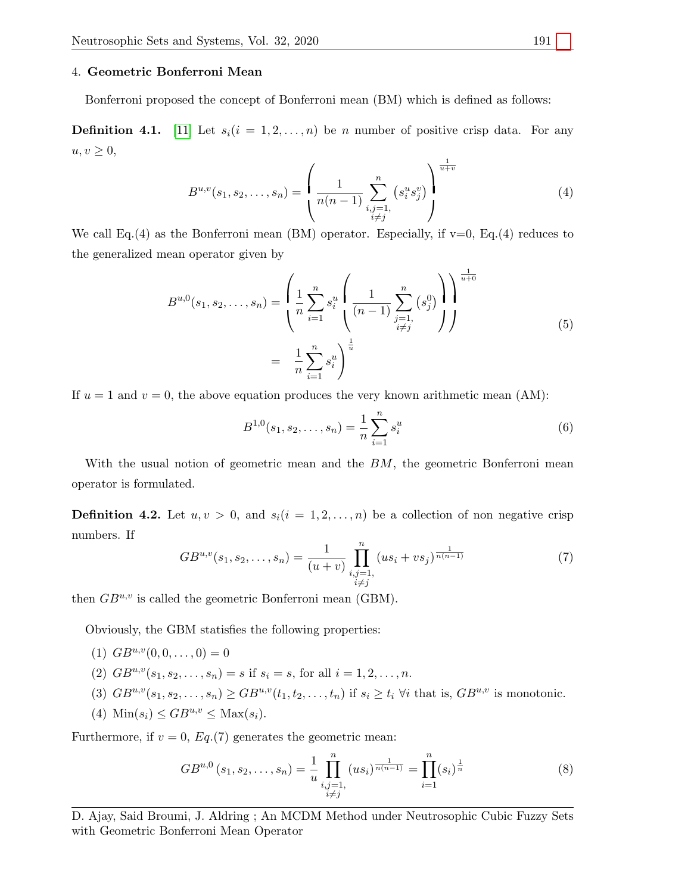#### 4. Geometric Bonferroni Mean

Bonferroni proposed the concept of Bonferroni mean (BM) which is defined as follows:

**Definition 4.1.** [\[11\]](#page-14-13) Let  $s_i(i = 1, 2, ..., n)$  be n number of positive crisp data. For any  $u, v \geq 0$ ,

$$
B^{u,v}(s_1, s_2, \dots, s_n) = \left(\frac{1}{n(n-1)} \sum_{\substack{i,j=1,\\i \neq j}}^n (s_i^u s_j^v)\right)^{\frac{1}{u+v}}
$$
(4)

We call Eq.(4) as the Bonferroni mean (BM) operator. Especially, if  $v=0$ , Eq.(4) reduces to the generalized mean operator given by

$$
B^{u,0}(s_1, s_2, \dots, s_n) = \left(\frac{1}{n} \sum_{i=1}^n s_i^u \left(\frac{1}{(n-1)} \sum_{\substack{j=1,\\i \neq j}}^n (s_j^0)\right)\right)^{\frac{1}{u+0}} \\
= \frac{1}{n} \sum_{i=1}^n s_i^u\right)^{\frac{1}{u}}\n\tag{5}
$$

If  $u = 1$  and  $v = 0$ , the above equation produces the very known arithmetic mean (AM):

$$
B^{1,0}(s_1, s_2, \dots, s_n) = \frac{1}{n} \sum_{i=1}^n s_i^u
$$
 (6)

With the usual notion of geometric mean and the  $BM$ , the geometric Bonferroni mean operator is formulated.

**Definition 4.2.** Let  $u, v > 0$ , and  $s_i(i = 1, 2, ..., n)$  be a collection of non negative crisp numbers. If

$$
GB^{u,v}(s_1, s_2, \dots, s_n) = \frac{1}{(u+v)} \prod_{\substack{i,j=1,\\i \neq j}}^n (us_i + vs_j)^{\frac{1}{n(n-1)}} \tag{7}
$$

then  $GB^{u,v}$  is called the geometric Bonferroni mean (GBM).

Obviously, the GBM statisfies the following properties:

- (1)  $GB^{u,v}(0,0,\ldots,0)=0$
- (2)  $GB^{u,v}(s_1, s_2, \ldots, s_n) = s$  if  $s_i = s$ , for all  $i = 1, 2, \ldots, n$ .
- (3)  $GB^{u,v}(s_1, s_2, \ldots, s_n) \geq GB^{u,v}(t_1, t_2, \ldots, t_n)$  if  $s_i \geq t_i$   $\forall i$  that is,  $GB^{u,v}$  is monotonic.
- (4)  $\text{Min}(s_i) \leq GB^{u,v} \leq \text{Max}(s_i).$

Furthermore, if  $v = 0$ ,  $Eq.(7)$  generates the geometric mean:

$$
GB^{u,0}(s_1, s_2, \dots, s_n) = \frac{1}{u} \prod_{\substack{i,j=1, \\ i \neq j}}^n (us_i)^{\frac{1}{n(n-1)}} = \prod_{i=1}^n (s_i)^{\frac{1}{n}} \tag{8}
$$

D. Ajay, Said Broumi, J. Aldring ; An MCDM Method under Neutrosophic Cubic Fuzzy Sets with Geometric Bonferroni Mean Operator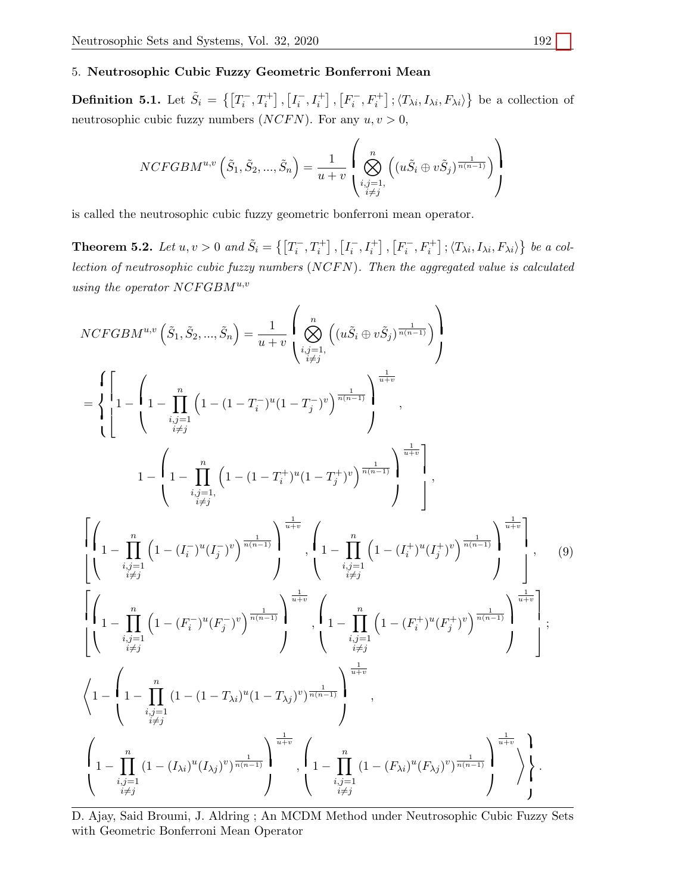## 5. Neutrosophic Cubic Fuzzy Geometric Bonferroni Mean

**Definition 5.1.** Let  $\tilde{S}_i = \{ \left[T_i^-, T_i^+\right], \left[I_i^-, I_i^+\right], \left[F_i^-, F_i^+\right], \langle T_{\lambda i}, I_{\lambda i}, F_{\lambda i} \rangle \}$  be a collection of neutrosophic cubic fuzzy numbers  $(NCFN)$ . For any  $u, v > 0$ ,

$$
NCFGBM^{u,v}\left(\tilde{S}_1,\tilde{S}_2,...,\tilde{S}_n\right)=\frac{1}{u+v}\left(\bigotimes_{\substack{i,j=1,\\i\neq j}}^n\left((u\tilde{S}_i\oplus v\tilde{S}_j)^{\frac{1}{n(n-1)}}\right)\right)
$$

is called the neutrosophic cubic fuzzy geometric bonferroni mean operator.

**Theorem 5.2.** Let  $u, v > 0$  and  $\tilde{S}_i = \{ [T_i^-, T_i^+] , [I_i^-, I_i^+] , [F_i^-, F_i^+ ] ; \langle T_{\lambda i}, I_{\lambda i}, F_{\lambda i} \rangle \}$  be a collection of neutrosophic cubic fuzzy numbers (NCFN). Then the aggregated value is calculated using the operator  $NCFGBM^{u,v}$ 

$$
NCFGBM^{u,v}\left(\tilde{S}_{1},\tilde{S}_{2},...,\tilde{S}_{n}\right) = \frac{1}{u+v} \left( \bigotimes_{\substack{i,j=1,\\i \neq j}}^{n} \left( \left( u \tilde{S}_{i} \oplus v \tilde{S}_{j} \right)^{\frac{1}{n(n-1)}} \right) \right)
$$
\n
$$
= \left\{ \left[ 1 - \left( 1 - \prod_{\substack{i,j=1\\i \neq j}}^{n} \left( 1 - \left( 1 - T_{i}^{-} \right)^{u} (1 - T_{j}^{-})^{v} \right)^{\frac{1}{n(n-1)}} \right)^{\frac{1}{u+v}}, 1 - \left( 1 - \prod_{\substack{i,j=1\\i \neq j}}^{n} \left( 1 - \left( 1 - T_{i}^{+} \right)^{u} (1 - T_{j}^{+})^{v} \right)^{\frac{1}{n(n-1)}} \right)^{\frac{1}{u+v}} \right), \left[ \left( 1 - \prod_{\substack{i,j=1\\i \neq j}}^{n} \left( 1 - \left( T_{i}^{-} \right)^{u} (T_{j}^{-})^{v} \right)^{\frac{1}{n(n-1)}} \right)^{\frac{1}{u+v}} \right), \left[ 1 - \prod_{\substack{i,j=1\\i \neq j}}^{n} \left( 1 - \left( T_{i}^{+} \right)^{u} (T_{j}^{+})^{v} \right)^{\frac{1}{n(n-1)}} \right) \right], \quad (9)
$$
\n
$$
\left[ \left( 1 - \prod_{\substack{i,j=1\\i \neq j}}^{n} \left( 1 - \left( F_{i}^{-} \right)^{u} (F_{j}^{-})^{v} \right)^{\frac{1}{n(n-1)}} \right)^{\frac{1}{u+v}} \right), \left[ 1 - \prod_{\substack{i,j=1\\i \neq j}}^{n} \left( 1 - \left( F_{i}^{+} \right)^{u} (F_{j}^{+})^{v} \right)^{\frac{1}{n(n-1)}} \right)^{\frac{1}{u+v}} \right], \left[ 1 - \left( \prod_{\substack{i,j=1\\i \neq j}}^{n} \left( 1 - \left( F_{i}^{+} \right)^{u} (F_{j}^{+})^{v} \right)^{\frac{1}{n(n-1)}} \right)^{\frac{1}{u+v}} \right), \left
$$

D. Ajay, Said Broumi, J. Aldring ; An MCDM Method under Neutrosophic Cubic Fuzzy Sets with Geometric Bonferroni Mean Operator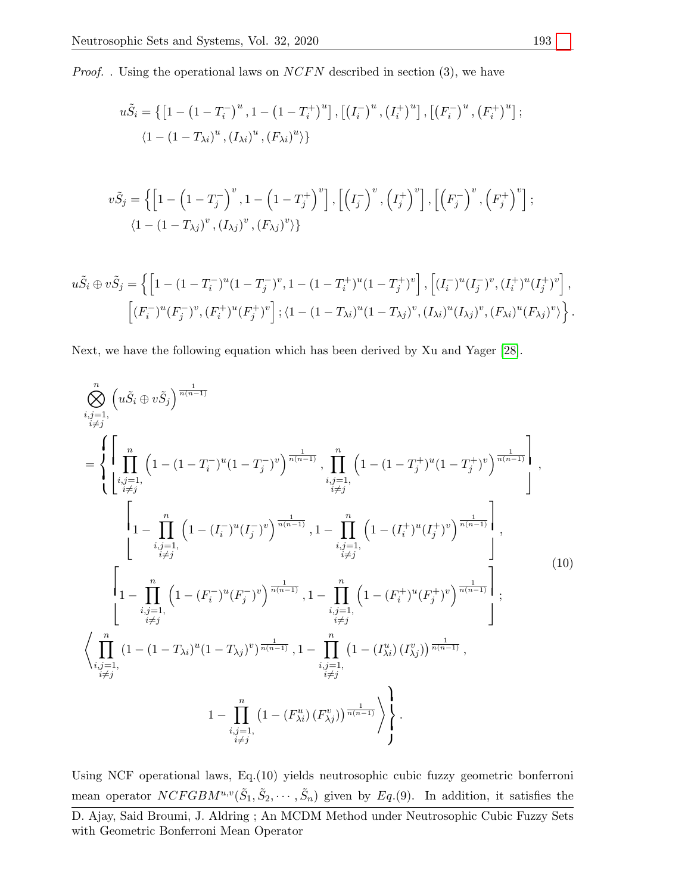*Proof.* . Using the operational laws on  $NCFN$  described in section (3), we have

$$
u\tilde{S}_{i} = \{ \left[ 1 - \left( 1 - T_{i}^{-} \right)^{u}, 1 - \left( 1 - T_{i}^{+} \right)^{u} \right], \left[ \left( I_{i}^{-} \right)^{u}, \left( I_{i}^{+} \right)^{u} \right], \left[ \left( F_{i}^{-} \right)^{u}, \left( F_{i}^{+} \right)^{u} \right];
$$
  

$$
\langle 1 - (1 - T_{\lambda i})^{u}, \left( I_{\lambda i} \right)^{u}, \left( F_{\lambda i} \right)^{u} \rangle \}
$$

$$
v\tilde{S}_j = \left\{ \left[ 1 - \left( 1 - T_j^{-} \right)^v, 1 - \left( 1 - T_j^{+} \right)^v \right], \left[ \left( I_j^{-} \right)^v, \left( I_j^{+} \right)^v \right], \left[ \left( F_j^{-} \right)^v, \left( F_j^{+} \right)^v \right];
$$
  

$$
\langle 1 - \left( 1 - T_{\lambda j} \right)^v, \left( I_{\lambda j} \right)^v, \left( F_{\lambda j} \right)^v \rangle \right\}
$$

$$
u\tilde{S}_i \oplus v\tilde{S}_j = \left\{ \left[ 1 - (1 - T_i^{-})^u (1 - T_j^{-})^v, 1 - (1 - T_i^{+})^u (1 - T_j^{+})^v \right], \left[ (I_i^{-})^u (I_j^{-})^v, (I_i^{+})^u (I_j^{+})^v \right], \left[ (F_i^{-})^u (F_j^{-})^v, (F_i^{+})^u (F_j^{+})^v \right]; \left\langle 1 - (1 - T_{\lambda i})^u (1 - T_{\lambda j})^v, (I_{\lambda i})^u (I_{\lambda j})^v, (F_{\lambda i})^u (F_{\lambda j})^v \right\rangle \right\}.
$$

Next, we have the following equation which has been derived by Xu and Yager [\[28\]](#page-15-3).

$$
\sum_{\substack{i,j=1,\\i\neq j}}^{n} \left( u \tilde{S}_{i} \oplus v \tilde{S}_{j} \right)^{\frac{1}{n(n-1)}}
$$
\n
$$
= \left\{ \prod_{\substack{i,j=1,\\i\neq j}}^{n} \left( 1 - (1 - T_{i}^{-})^{u} (1 - T_{j}^{-})^{v} \right)^{\frac{1}{n(n-1)}} , \prod_{\substack{i,j=1,\\i\neq j}}^{n} \left( 1 - (1 - T_{j}^{+})^{u} (1 - T_{j}^{+})^{v} \right)^{\frac{1}{n(n-1)}}
$$
\n
$$
\left[ 1 - \prod_{\substack{i,j=1,\\i\neq j}}^{n} \left( 1 - (I_{i}^{-})^{u} (I_{j}^{-})^{v} \right)^{\frac{1}{n(n-1)}} , 1 - \prod_{\substack{i,j=1,\\i\neq j}}^{n} \left( 1 - (I_{i}^{+})^{u} (I_{j}^{+})^{v} \right)^{\frac{1}{n(n-1)}}
$$
\n
$$
\left[ 1 - \prod_{\substack{i,j=1,\\i\neq j}}^{n} \left( 1 - (F_{i}^{-})^{u} (F_{j}^{-})^{v} \right)^{\frac{1}{n(n-1)}} , 1 - \prod_{\substack{i,j=1,\\i\neq j}}^{n} \left( 1 - (F_{i}^{+})^{u} (F_{j}^{+})^{v} \right)^{\frac{1}{n(n-1)}}
$$
\n
$$
\left\{ \prod_{\substack{i,j=1,\\i\neq j}}^{n} (1 - (1 - T_{\lambda i})^{u} (1 - T_{\lambda j})^{v} \right)^{\frac{1}{n(n-1)}} , 1 - \prod_{\substack{i,j=1,\\i\neq j}}^{n} \left( 1 - (T_{\lambda i}^{u}) (T_{\lambda j}^{v}) \right)^{\frac{1}{n(n-1)}}
$$
\n
$$
1 - \prod_{\substack{i,j=1,\\i\neq j}}^{n} (1 - (F_{\lambda i}^{u}) (F_{\lambda j}^{v}))^{\frac{1}{n(n-1)}}
$$
\n
$$
\right\}.
$$
\n(10)

mean operator  $NCFGBM^{u,v}(\tilde{S}_1, \tilde{S}_2, \cdots, \tilde{S}_n)$  given by  $Eq.(9)$ . In addition, it satisfies the Using NCF operational laws, Eq.(10) yields neutrosophic cubic fuzzy geometric bonferroni D. Ajay, Said Broumi, J. Aldring ; An MCDM Method under Neutrosophic Cubic Fuzzy Sets with Geometric Bonferroni Mean Operator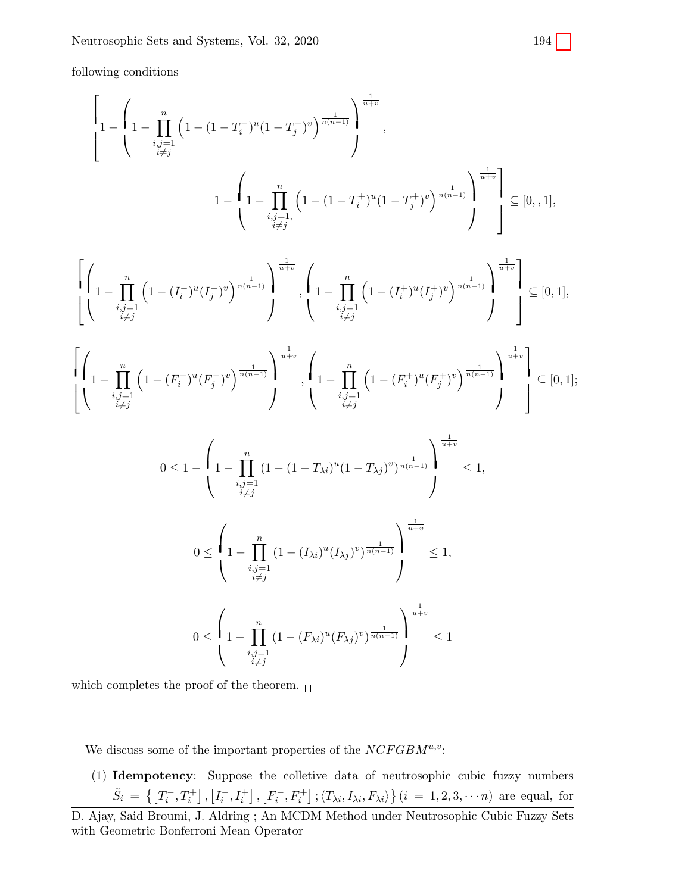following conditions

$$
\left[1 - \left(1 - \prod_{\substack{i,j=1 \\ i \neq j}}^{n} \left(1 - (1 - T_i^{-})^u (1 - T_j^{-})^v \right)^{\frac{1}{n(n-1)}} \right)^{\frac{1}{n(n-1)}}, 1 - \left(1 - \prod_{\substack{i,j=1 \\ i \neq j}}^{n} \left(1 - (1 - T_i^{+})^u (1 - T_j^{+})^v \right)^{\frac{1}{n(n-1)}} \right)^{\frac{1}{n(n-1)}} \right] \subseteq [0, 1],
$$

$$
\left[\left(1-\prod_{\substack{i,j=1\\i\neq j}}^{n}\left(1-(I_i^-)^u(I_j^-)^v\right)^{\frac{1}{n(n-1)}}\right)^{\frac{1}{u+v}},\left(1-\prod_{\substack{i,j=1\\i\neq j}}^{n}\left(1-(I_i^+)^u(I_j^+)^v\right)^{\frac{1}{n(n-1)}}\right)^{\frac{1}{u+v}}\right]\subseteq[0,1],
$$

$$
\left[ \left( \n\begin{matrix} n \\ 1 - \prod_{\substack{i,j=1 \\ i \neq j}}^n \left( 1 - (F_i^-)^u (F_j^-)^v \right)^{\frac{1}{n(n-1)}} \right)^{\frac{1}{u+v}} , \left( \n\begin{matrix} n \\ 1 - \prod_{\substack{i,j=1 \\ i \neq j}}^n \left( 1 - (F_i^+)^u (F_j^+)^v \right)^{\frac{1}{n(n-1)}} \right)^{\frac{1}{u+v}} \end{matrix} \right] \subseteq [0,1];
$$

$$
0 \leq 1 - \left(1 - \prod_{\substack{i,j=1 \\ i \neq j}}^{n} (1 - (1 - T_{\lambda i})^{u} (1 - T_{\lambda j})^{v})^{\frac{1}{n(n-1)}}\right)^{\frac{1}{u+v}} \leq 1,
$$

$$
0 \leq \left(1 - \prod_{\substack{i,j=1 \\ i \neq j}}^n (1 - (I_{\lambda i})^u (I_{\lambda j})^v)^{\frac{1}{n(n-1)}}\right)^{\frac{1}{u+v}} \leq 1,
$$

$$
0 \leq \left(1 - \prod_{\substack{i,j=1 \\ i \neq j}}^n (1 - (F_{\lambda i})^u (F_{\lambda j})^v)^{\frac{1}{n(n-1)}}\right)^{\frac{1}{u+v}} \leq 1
$$

which completes the proof of the theorem.  $_\Box$ 

with Geometric Bonferroni Mean Operator

We discuss some of the important properties of the  $NCFGBM^{u,v}$ :

 $\tilde{S}_i = \{ [T_i^-, T_i^+] , [I_i^-, I_i^+] , [F_i^-, F_i^+] ; \langle T_{\lambda i}, I_{\lambda i}, F_{\lambda i} \rangle \} (i = 1, 2, 3, \cdots n)$  are equal, for (1) Idempotency: Suppose the colletive data of neutrosophic cubic fuzzy numbers D. Ajay, Said Broumi, J. Aldring ; An MCDM Method under Neutrosophic Cubic Fuzzy Sets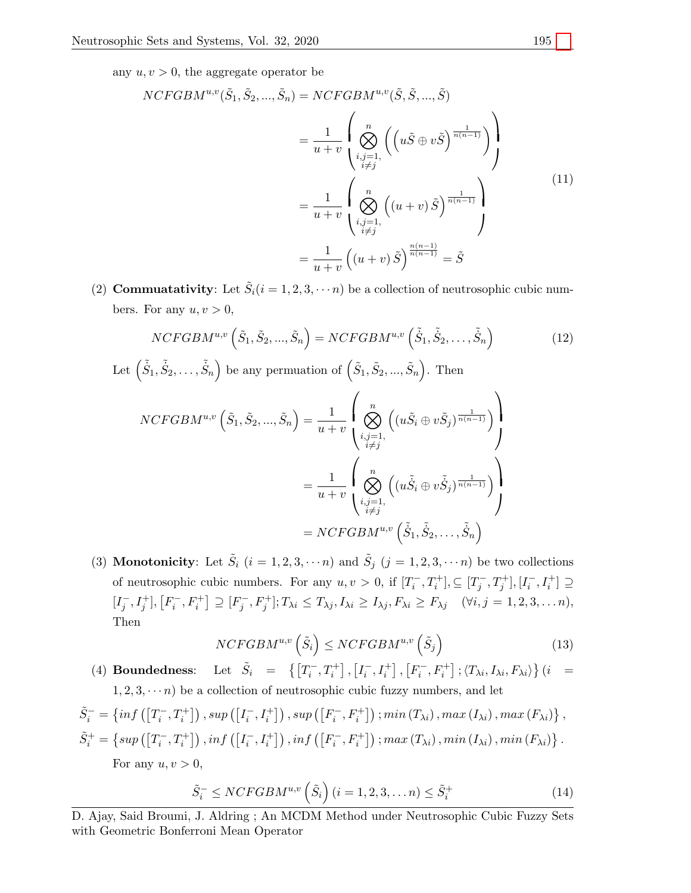any  $u, v > 0$ , the aggregate operator be

$$
NCFGBM^{u,v}(\tilde{S}_1, \tilde{S}_2, ..., \tilde{S}_n) = NCFGBM^{u,v}(\tilde{S}, \tilde{S}, ..., \tilde{S})
$$
  

$$
= \frac{1}{u+v} \left( \bigotimes_{\substack{i,j=1,\\i \neq j}}^n \left( \left( u\tilde{S} \oplus v\tilde{S} \right)^{\frac{1}{n(n-1)}} \right) \right)
$$
  

$$
= \frac{1}{u+v} \left( \bigotimes_{\substack{i,j=1,\\i \neq j}}^n \left( (u+v)\tilde{S} \right)^{\frac{1}{n(n-1)}} \right)
$$
  

$$
= \frac{1}{u+v} \left( (u+v)\tilde{S} \right)^{\frac{n(n-1)}{n(n-1)}} = \tilde{S}
$$
  

$$
(11)
$$

(2) **Commuatativity**: Let  $\tilde{S}_i(i = 1, 2, 3, \dots, n)$  be a collection of neutrosophic cubic numbers. For any  $u, v > 0$ ,

$$
NCFGBM^{u,v}\left(\tilde{S}_1, \tilde{S}_2, ..., \tilde{S}_n\right) = NCFGBM^{u,v}\left(\tilde{\dot{S}}_1, \tilde{\dot{S}}_2, ..., \tilde{\dot{S}}_n\right)
$$
(12)

Let 
$$
(\tilde{S}_1, \tilde{S}_2, \ldots, \tilde{S}_n)
$$
 be any permutation of  $(\tilde{S}_1, \tilde{S}_2, \ldots, \tilde{S}_n)$ . Then

$$
NCFGBM^{u,v}\left(\tilde{S}_1, \tilde{S}_2, ..., \tilde{S}_n\right) = \frac{1}{u+v} \left( \bigotimes_{\substack{i,j=1, \\ i \neq j}}^n \left( (u\tilde{S}_i \oplus v\tilde{S}_j)^{\frac{1}{n(n-1)}} \right) \right)
$$

$$
= \frac{1}{u+v} \left( \bigotimes_{\substack{i,j=1, \\ i \neq j}}^n \left( (u\tilde{S}_i \oplus v\tilde{S}_j)^{\frac{1}{n(n-1)}} \right) \right)
$$

$$
= NCFGBM^{u,v}\left( \tilde{S}_1, \tilde{S}_2, ..., \tilde{S}_n \right)
$$

(3) **Monotonicity**: Let  $\tilde{S}_i$   $(i = 1, 2, 3, \cdots n)$  and  $\tilde{S}_j$   $(j = 1, 2, 3, \cdots n)$  be two collections of neutrosophic cubic numbers. For any  $u, v > 0$ , if  $[T_i^-, T_i^+]$ ,  $\subseteq [T_j^-, T_j^+]$ ,  $[I_i^-, I_i^+] \supseteq$  $[I_j^-, I_j^+]$ ,  $[F_i^-, F_i^+] \supseteq [F_j^-, F_j^+]$ ;  $T_{\lambda i} \leq T_{\lambda j}$ ,  $I_{\lambda i} \geq I_{\lambda j}$ ,  $F_{\lambda i} \geq F_{\lambda j}$  ( $\forall i, j = 1, 2, 3, \dots n$ ), Then

$$
NCFGBM^{u,v}\left(\tilde{S}_{i}\right) \leq NCFGBM^{u,v}\left(\tilde{S}_{j}\right) \tag{13}
$$

(4) Boundedness: Let  $\tilde{S}_i = \left\{ \left[ T_i^-, T_i^+ \right], \left[ I_i^-, I_i^+ \right], \left[ F_i^-, F_i^+ \right], \left\langle T_{\lambda i}, I_{\lambda i}, F_{\lambda i} \right\rangle \right\}$  (i =  $1, 2, 3, \dots n$ ) be a collection of neutrosophic cubic fuzzy numbers, and let

$$
\tilde{S}_i^- = \left\{ \inf \left( \left[ T_i^-, T_i^+ \right] \right), \sup \left( \left[ I_i^-, I_i^+ \right] \right), \sup \left( \left[ F_i^-, F_i^+ \right] \right); \min \left( T_{\lambda i} \right), \max \left( I_{\lambda i} \right), \max \left( F_{\lambda i} \right) \right\},
$$
\n
$$
\tilde{S}_i^+ = \left\{ \sup \left( \left[ T_i^-, T_i^+ \right] \right), \inf \left( \left[ I_i^-, I_i^+ \right] \right), \inf \left( \left[ F_i^-, F_i^+ \right] \right); \max \left( T_{\lambda i} \right), \min \left( I_{\lambda i} \right), \min \left( F_{\lambda i} \right) \right\}.
$$
\nFor any  $u, v > 0$ ,

$$
\tilde{S}_i^- \leq NCFGBM^{u,v}\left(\tilde{S}_i\right)(i=1,2,3,\ldots n) \leq \tilde{S}_i^+\tag{14}
$$

D. Ajay, Said Broumi, J. Aldring ; An MCDM Method under Neutrosophic Cubic Fuzzy Sets with Geometric Bonferroni Mean Operator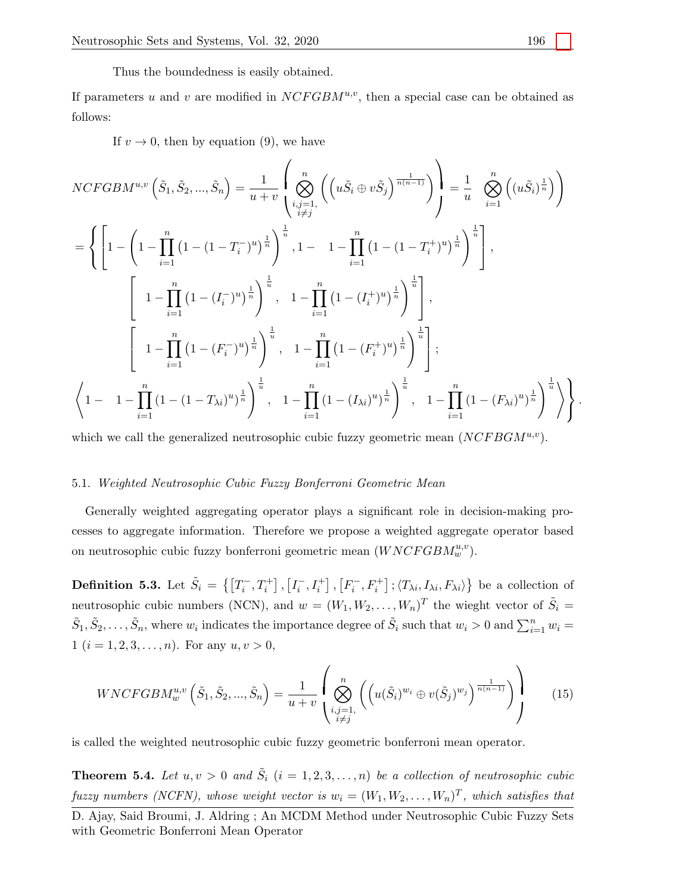Thus the boundedness is easily obtained.

If parameters u and v are modified in  $NCFGBM^{u,v}$ , then a special case can be obtained as follows:

If  $v \to 0$ , then by equation (9), we have

$$
NCFGBM^{u,v}\left(\tilde{S}_{1},\tilde{S}_{2},...,\tilde{S}_{n}\right) = \frac{1}{u+v} \left( \bigotimes_{i,j=1,1}^{n} \left( \left( u\tilde{S}_{i} \oplus v\tilde{S}_{j} \right)^{\frac{1}{n(n-1)}} \right) \right) = \frac{1}{u} \bigotimes_{i=1}^{n} \left( \left( u\tilde{S}_{i} \right)^{\frac{1}{n}} \right)
$$
  
\n
$$
= \left\{ \left[ 1 - \left( 1 - \prod_{i=1}^{n} \left( 1 - (1 - T_{i}^{-})^{u} \right)^{\frac{1}{n}} \right)^{\frac{1}{u}}, 1 - 1 - \prod_{i=1}^{n} \left( 1 - (1 - T_{i}^{+})^{u} \right)^{\frac{1}{n}} \right)^{\frac{1}{u}} \right],
$$
  
\n
$$
\left[ 1 - \prod_{i=1}^{n} \left( 1 - (I_{i}^{-})^{u} \right)^{\frac{1}{n}} \right)^{\frac{1}{u}}, 1 - \prod_{i=1}^{n} \left( 1 - (I_{i}^{+})^{u} \right)^{\frac{1}{n}} \right)^{\frac{1}{u}},
$$
  
\n
$$
\left[ 1 - \prod_{i=1}^{n} \left( 1 - (F_{i}^{-})^{u} \right)^{\frac{1}{n}} \right)^{\frac{1}{u}}, 1 - \prod_{i=1}^{n} \left( 1 - (F_{i}^{+})^{u} \right)^{\frac{1}{n}} \right)^{\frac{1}{u}};
$$
  
\n
$$
\left\langle 1 - 1 - \prod_{i=1}^{n} \left( 1 - (1 - T_{\lambda i})^{u} \right)^{\frac{1}{n}} \right)^{\frac{1}{u}}, 1 - \prod_{i=1}^{n} \left( 1 - (I_{\lambda i})^{u} \right)^{\frac{1}{n}} \right\rangle^{\frac{1}{u}}, 1 - \prod_{i=1}^{n} \left( 1 - (I_{\lambda i})^{u} \right)^{\frac{1}{n}} \right\rangle^{\frac{1}{u}}.
$$

which we call the generalized neutrosophic cubic fuzzy geometric mean  $(NCFBGM^{u,v})$ .

## 5.1. Weighted Neutrosophic Cubic Fuzzy Bonferroni Geometric Mean

Generally weighted aggregating operator plays a significant role in decision-making processes to aggregate information. Therefore we propose a weighted aggregate operator based on neutrosophic cubic fuzzy bonferroni geometric mean  $(WNCFGBM_w^{u,v})$ .

**Definition 5.3.** Let  $\tilde{S}_i = \{ \left[T_i^-, T_i^+\right], \left[I_i^-, I_i^+\right], \left[F_i^-, F_i^+\right], \langle T_{\lambda i}, I_{\lambda i}, F_{\lambda i} \rangle \}$  be a collection of  $\tilde{S}_1, \tilde{S}_2, \ldots, \tilde{S}_n$ , where  $w_i$  indicates the importance degree of  $\tilde{S}_i$  such that  $w_i > 0$  and  $\sum_{i=1}^n w_i =$ neutrosophic cubic numbers (NCN), and  $w = (W_1, W_2, \ldots, W_n)^T$  the wieght vector of  $\tilde{S}_i$  = 1 ( $i = 1, 2, 3, \ldots, n$ ). For any  $u, v > 0$ ,

$$
WNCFGBM_w^{u,v}\left(\tilde{S}_1, \tilde{S}_2, ..., \tilde{S}_n\right) = \frac{1}{u+v} \left( \bigotimes_{\substack{i,j=1,\\i \neq j}}^n \left( \left( u(\tilde{S}_i)^{w_i} \oplus v(\tilde{S}_j)^{w_j} \right)^{\frac{1}{n(n-1)}} \right) \right)
$$
(15)

is called the weighted neutrosophic cubic fuzzy geometric bonferroni mean operator.

**Theorem 5.4.** Let  $u, v > 0$  and  $\tilde{S}_i$   $(i = 1, 2, 3, ..., n)$  be a collection of neutrosophic cubic fuzzy numbers (NCFN), whose weight vector is  $w_i = (W_1, W_2, \ldots, W_n)^T$ , which satisfies that

D. Ajay, Said Broumi, J. Aldring ; An MCDM Method under Neutrosophic Cubic Fuzzy Sets with Geometric Bonferroni Mean Operator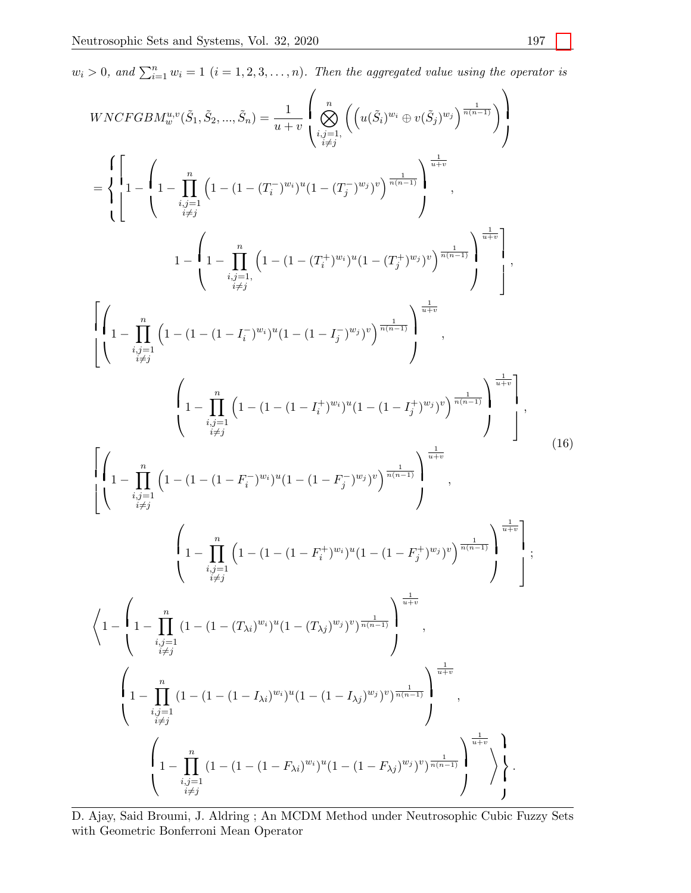$w_i > 0$ , and  $\sum_{i=1}^n w_i = 1$   $(i = 1, 2, 3, \ldots, n)$ . Then the aggregated value using the operator is

$$
WNGFGBM_w^{u,v}(\bar{S}_1, \bar{S}_2, ..., \bar{S}_n) = \frac{1}{u+v} \left( \sum_{\substack{i,j=1 \ i \neq j}}^n \left( \left( u(\bar{S}_i)^{w_i} \oplus v(\bar{S}_j)^{w_j} \right)^{\frac{1}{n(n-1)}} \right) \right)
$$
\n
$$
= \begin{cases}\n\left[ 1 - \left( 1 - \prod_{i,j=1}^n \left( 1 - (1 - (T_i^{-})^{w_i})^u (1 - (T_j^{-})^{w_j})^v \right)^{\frac{1}{n(n-1)}} \right]^{w_i^{-1}} ,\n\left. 1 - \left( 1 - \prod_{i,j=1}^n \left( 1 - (1 - (T_i^{+})^{w_i})^u (1 - (T_j^{+})^{w_j})^v \right)^{\frac{1}{n(n-1)}} \right)^{\frac{1}{w+v}} \right],\n\left. \left[ \left( 1 - \prod_{i,j=1}^n \left( 1 - (1 - (1 - (T_i^{+})^{w_i})^u (1 - (1 - T_j^{-})^{w_j})^v \right)^{\frac{1}{n(n-1)}} \right)^{\frac{1}{n(n-1)}} \right],\n\left. \left[ \left( 1 - \prod_{i,j=1}^n \left( 1 - (1 - (1 - T_i^{-})^{w_i})^u (1 - (1 - T_j^{-})^{w_j})^v \right)^{\frac{1}{n(n-1)}} \right)^{\frac{1}{n(n-1)}} \right],\n\left. \left[ \left( 1 - \prod_{i,j=1}^n \left( 1 - (1 - (1 - T_i^{-})^{w_i})^u (1 - (1 - T_j^{+})^{w_j})^v \right)^{\frac{1}{n(n-1)}} \right)^{\frac{1}{n(n-1)}} \right],\n\left. \left[ \left( 1 - \prod_{i,j=1}^n \left( 1 - (1 - (1 - T_i^{-})^{w_i})^u (1 - (1 - T_j^{-})^{w_j})^v \right)^{\frac{1}{n(n-1)}} \right)^{\frac{1}{n(n-1)}} \right],\n\left. \left\{ 1 - \prod_{i,j=1}^n \left( 1 - (1 - (1 - (T_{\lambda i})^{w_i})^u (1 - (T_{\lambda j})^{w_j})^v)^{\frac{1}{n(n-1)}} \right)^{\frac{1}{n(n-1)}} \right\},\n\left
$$

D. Ajay, Said Broumi, J. Aldring ; An MCDM Method under Neutrosophic Cubic Fuzzy Sets with Geometric Bonferroni Mean Operator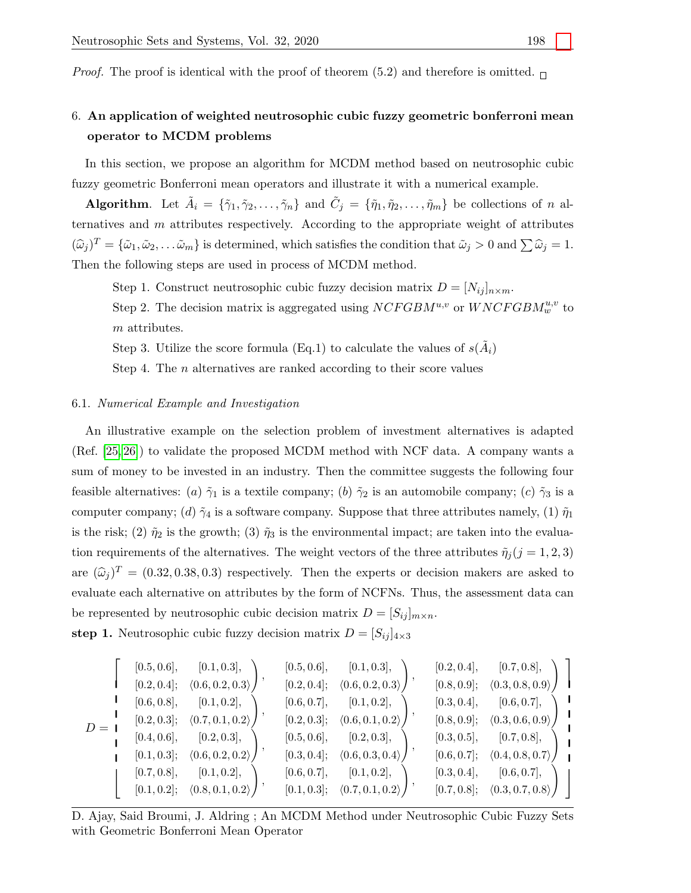*Proof.* The proof is identical with the proof of theorem (5.2) and therefore is omitted.  $\Box$ 

# 6. An application of weighted neutrosophic cubic fuzzy geometric bonferroni mean operator to MCDM problems

In this section, we propose an algorithm for MCDM method based on neutrosophic cubic fuzzy geometric Bonferroni mean operators and illustrate it with a numerical example.

**Algorithm.** Let  $\tilde{A}_i = \{\tilde{\gamma}_1, \tilde{\gamma}_2, \ldots, \tilde{\gamma}_n\}$  and  $\tilde{C}_i = \{\tilde{\eta}_1, \tilde{\eta}_2, \ldots, \tilde{\eta}_m\}$  be collections of n alternatives and  $m$  attributes respectively. According to the appropriate weight of attributes  $({\widehat{\omega}}_j)^T = {\{\widetilde{\omega}_1, \widetilde{\omega}_2, \ldots \widetilde{\omega}_m\}}$  is determined, which satisfies the condition that  $\widetilde{\omega}_j > 0$  and  $\sum \widehat{\omega}_j = 1$ . Then the following steps are used in process of MCDM method.

Step 1. Construct neutrosophic cubic fuzzy decision matrix  $D = [N_{ij}]_{n \times m}$ . Step 2. The decision matrix is aggregated using  $NCFGBM^{u,v}$  or  $WNCFGBM_w^{u,v}$  to m attributes.

Step 3. Utilize the score formula (Eq.1) to calculate the values of  $s(\tilde{A}_i)$ 

Step 4. The *n* alternatives are ranked according to their score values

#### 6.1. Numerical Example and Investigation

An illustrative example on the selection problem of investment alternatives is adapted (Ref. [\[25,](#page-15-2) [26\]](#page-15-4)) to validate the proposed MCDM method with NCF data. A company wants a sum of money to be invested in an industry. Then the committee suggests the following four feasible alternatives: (a)  $\tilde{\gamma}_1$  is a textile company; (b)  $\tilde{\gamma}_2$  is an automobile company; (c)  $\tilde{\gamma}_3$  is a computer company; (d)  $\tilde{\gamma}_4$  is a software company. Suppose that three attributes namely, (1)  $\tilde{\eta}_1$ is the risk; (2)  $\tilde{\eta}_2$  is the growth; (3)  $\tilde{\eta}_3$  is the environmental impact; are taken into the evaluation requirements of the alternatives. The weight vectors of the three attributes  $\tilde{\eta}_j (j = 1, 2, 3)$ are  $(\hat{\omega}_i)^T = (0.32, 0.38, 0.3)$  respectively. Then the experts or decision makers are asked to evaluate each alternative on attributes by the form of NCFNs. Thus, the assessment data can be represented by neutrosophic cubic decision matrix  $D = [S_{ij}]_{m \times n}$ . step 1. Neutrosophic cubic fuzzy decision matrix  $D = [S_{ij}]_{4\times3}$ 

|         | [0.5, 0.6],    | [0.1, 0.3],                                    | [0.5, 0.6],    | [0.1, 0.3],                                       | [0.2, 0.4], | [0.7, 0.8],                                       |  |
|---------|----------------|------------------------------------------------|----------------|---------------------------------------------------|-------------|---------------------------------------------------|--|
| $D = I$ | $[0.2, 0.4]$ ; | (0.6, 0.2, 0.3)                                | $[0.2, 0.4]$ ; | (0.6, 0.2, 0.3)                                   | [0.8, 0.9]; | (0.3, 0.8, 0.9)                                   |  |
|         | [0.6, 0.8],    | [0.1, 0.2],                                    | [0.6, 0.7],    | [0.1, 0.2],                                       | [0.3, 0.4], | [0.6, 0.7],                                       |  |
|         | $[0.2, 0.3]$ ; | (0.7, 0.1, 0.2)                                |                | $[0.2, 0.3]$ ; $\langle 0.6, 0.1, 0.2 \rangle$    | [0.8, 0.9]; | (0.3, 0.6, 0.9)                                   |  |
|         | [0.4, 0.6],    | [0.2, 0.3],                                    | [0.5, 0.6],    | [0.2, 0.3],                                       | [0.3, 0.5], | [0.7, 0.8],                                       |  |
|         | [0.1, 0.3];    | (0.6, 0.2, 0.2)                                |                | $[0.3, 0.4]; \quad \langle 0.6, 0.3, 0.4 \rangle$ | [0.6, 0.7]; | (0.4, 0.8, 0.7)                                   |  |
|         | [0.7, 0.8],    | [0.1, 0.2],                                    | [0.6, 0.7],    | [0.1, 0.2],                                       | [0.3, 0.4], | [0.6, 0.7],                                       |  |
|         |                | $[0.1, 0.2]$ ; $\langle 0.8, 0.1, 0.2 \rangle$ |                | $[0.1, 0.3]$ ; $\langle 0.7, 0.1, 0.2 \rangle$    |             | $[0.7, 0.8]; \quad \langle 0.3, 0.7, 0.8 \rangle$ |  |

D. Ajay, Said Broumi, J. Aldring ; An MCDM Method under Neutrosophic Cubic Fuzzy Sets with Geometric Bonferroni Mean Operator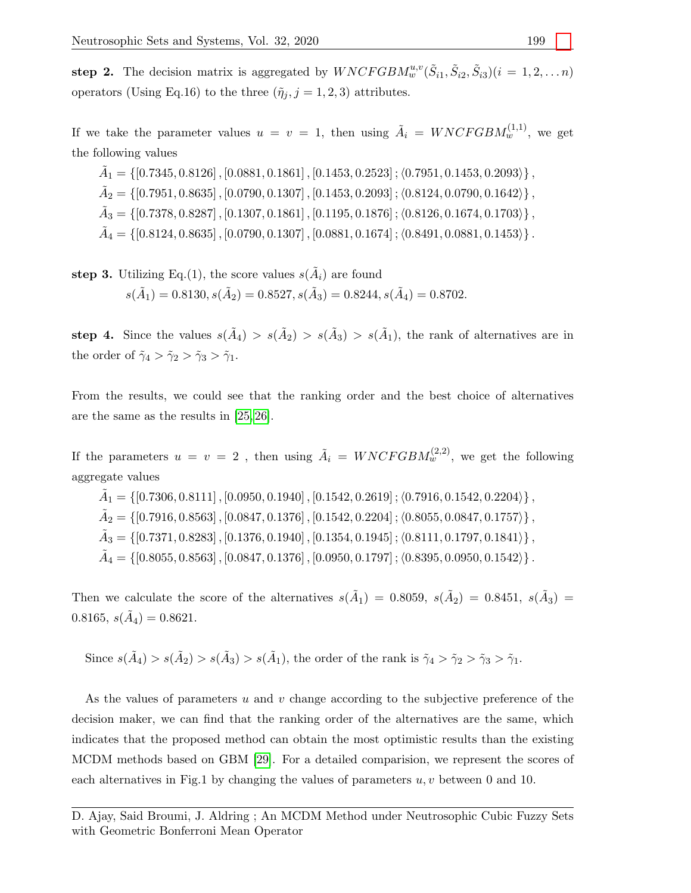step 2. The decision matrix is aggregated by  $WNCFGBM_w^{u,v}(\tilde{S}_{i1}, \tilde{S}_{i2}, \tilde{S}_{i3})(i = 1, 2, \ldots n)$ operators (Using Eq.16) to the three  $(\tilde{\eta}_i, j = 1, 2, 3)$  attributes.

If we take the parameter values  $u = v = 1$ , then using  $\tilde{A}_i = WNCFGBM_w^{(1,1)}$ , we get the following values

 $\tilde{A}_1 = \{[0.7345, 0.8126]$  ,  $[0.0881, 0.1861]$  ,  $[0.1453, 0.2523]$  ;  $\langle 0.7951, 0.1453, 0.2093 \rangle\}$  ,  $\tilde{A}_2 = \{[0.7951, 0.8635]$  ,  $[0.0790, 0.1307]$  ,  $[0.1453, 0.2093]$  ;  $\langle 0.8124, 0.0790, 0.1642 \rangle\}$  ,  $\tilde{A}_3=\left\{ [0.7378, 0.8287] \, , [0.1307, 0.1861] \, , [0.1195, 0.1876] \, ; \langle 0.8126, 0.1674, 0.1703 \rangle \right\},$  $\tilde{A}_4=\left\{ [0.8124, 0.8635] \, , [0.0790, 0.1307] \, , [0.0881, 0.1674] \, ; \langle 0.8491, 0.0881, 0.1453 \rangle \right\}.$ 

```
step 3. Utilizing Eq.(1), the score values s(\tilde{A}_i) are found
             s(\tilde{A}_1) = 0.8130, s(\tilde{A}_2) = 0.8527, s(\tilde{A}_3) = 0.8244, s(\tilde{A}_4) = 0.8702.
```
step 4. Since the values  $s(\tilde{A}_4) > s(\tilde{A}_2) > s(\tilde{A}_3) > s(\tilde{A}_1)$ , the rank of alternatives are in the order of  $\tilde{\gamma}_4 > \tilde{\gamma}_2 > \tilde{\gamma}_3 > \tilde{\gamma}_1$ .

From the results, we could see that the ranking order and the best choice of alternatives are the same as the results in [\[25,](#page-15-2) [26\]](#page-15-4).

If the parameters  $u = v = 2$ , then using  $\tilde{A}_i = WNCFGBM_w^{(2,2)}$ , we get the following aggregate values

 $\tilde{A}_1 = \{ [0.7306, 0.8111]$  ,  $[0.0950, 0.1940]$  ,  $[0.1542, 0.2619]$  ;  $\langle 0.7916, 0.1542, 0.2204 \rangle \}$  ,  $\tilde{A}_2=\left\{ [0.7916, 0.8563] \, , [0.0847, 0.1376] \, , [0.1542, 0.2204] \, ; \langle 0.8055, 0.0847, 0.1757 \rangle \right\},$  $\tilde{A}_3=\left\{ [0.7371, 0.8283] \, , [0.1376, 0.1940] \, , [0.1354, 0.1945] \, ; \langle 0.8111, 0.1797, 0.1841 \rangle \right\},$  $\tilde{A}_4=\left\{[0.8055, 0.8563] \, , [0.0847, 0.1376] \, , [0.0950, 0.1797] \, ; \langle 0.8395, 0.0950, 0.1542 \rangle \right\}.$ 

Then we calculate the score of the alternatives  $s(\tilde{A}_1) = 0.8059, s(\tilde{A}_2) = 0.8451, s(\tilde{A}_3) =$ 0.8165,  $s(\tilde{A}_4) = 0.8621$ .

Since  $s(\tilde{A}_4) > s(\tilde{A}_2) > s(\tilde{A}_3) > s(\tilde{A}_1)$ , the order of the rank is  $\tilde{\gamma}_4 > \tilde{\gamma}_2 > \tilde{\gamma}_3 > \tilde{\gamma}_1$ .

As the values of parameters u and v change according to the subjective preference of the decision maker, we can find that the ranking order of the alternatives are the same, which indicates that the proposed method can obtain the most optimistic results than the existing MCDM methods based on GBM [\[29\]](#page-15-5). For a detailed comparision, we represent the scores of each alternatives in Fig.1 by changing the values of parameters  $u, v$  between 0 and 10.

D. Ajay, Said Broumi, J. Aldring ; An MCDM Method under Neutrosophic Cubic Fuzzy Sets with Geometric Bonferroni Mean Operator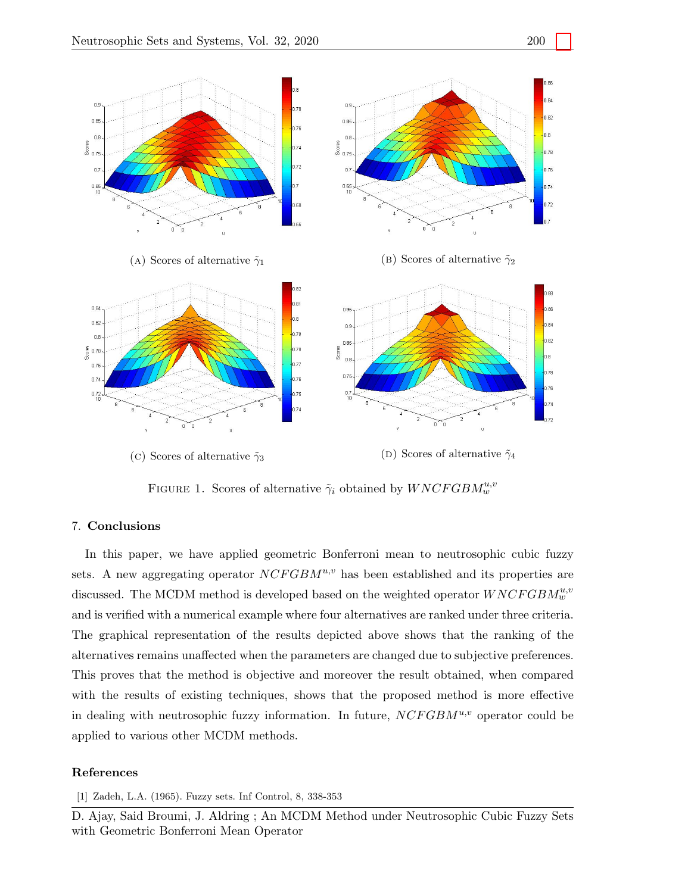

FIGURE 1. Scores of alternative  $\tilde{\gamma}_i$  obtained by  $WNCFGBM_w^{u,v}$ 

#### 7. Conclusions

In this paper, we have applied geometric Bonferroni mean to neutrosophic cubic fuzzy sets. A new aggregating operator  $NCFGBM^{u,v}$  has been established and its properties are discussed. The MCDM method is developed based on the weighted operator  $WNCFGBM_w^{u,v}$ and is verified with a numerical example where four alternatives are ranked under three criteria. The graphical representation of the results depicted above shows that the ranking of the alternatives remains unaffected when the parameters are changed due to subjective preferences. This proves that the method is objective and moreover the result obtained, when compared with the results of existing techniques, shows that the proposed method is more effective in dealing with neutrosophic fuzzy information. In future,  $NCFGBM^{u,v}$  operator could be applied to various other MCDM methods.

### References

<span id="page-13-0"></span>[1] Zadeh, L.A. (1965). Fuzzy sets. Inf Control, 8, 338-353

D. Ajay, Said Broumi, J. Aldring ; An MCDM Method under Neutrosophic Cubic Fuzzy Sets with Geometric Bonferroni Mean Operator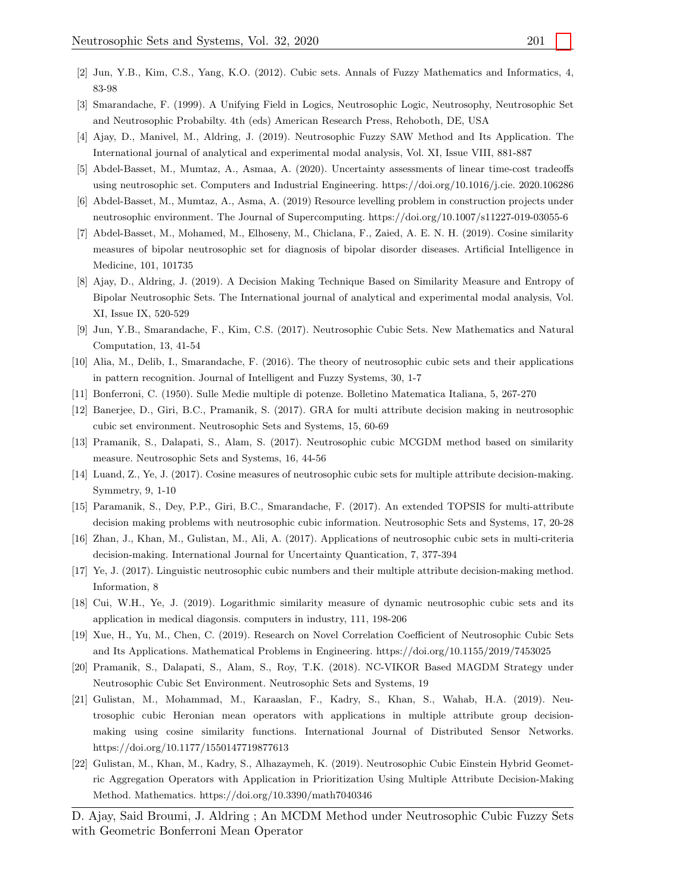- <span id="page-14-0"></span>[2] Jun, Y.B., Kim, C.S., Yang, K.O. (2012). Cubic sets. Annals of Fuzzy Mathematics and Informatics, 4, 83-98
- <span id="page-14-1"></span>[3] Smarandache, F. (1999). A Unifying Field in Logics, Neutrosophic Logic, Neutrosophy, Neutrosophic Set and Neutrosophic Probabilty. 4th (eds) American Research Press, Rehoboth, DE, USA
- <span id="page-14-2"></span>[4] Ajay, D., Manivel, M., Aldring, J. (2019). Neutrosophic Fuzzy SAW Method and Its Application. The International journal of analytical and experimental modal analysis, Vol. XI, Issue VIII, 881-887
- <span id="page-14-3"></span>[5] Abdel-Basset, M., Mumtaz, A., Asmaa, A. (2020). Uncertainty assessments of linear time-cost tradeoffs using neutrosophic set. Computers and Industrial Engineering. https://doi.org/10.1016/j.cie. 2020.106286
- <span id="page-14-4"></span>[6] Abdel-Basset, M., Mumtaz, A., Asma, A. (2019) Resource levelling problem in construction projects under neutrosophic environment. The Journal of Supercomputing. https://doi.org/10.1007/s11227-019-03055-6
- <span id="page-14-5"></span>[7] Abdel-Basset, M., Mohamed, M., Elhoseny, M., Chiclana, F., Zaied, A. E. N. H. (2019). Cosine similarity measures of bipolar neutrosophic set for diagnosis of bipolar disorder diseases. Artificial Intelligence in Medicine, 101, 101735
- <span id="page-14-6"></span>[8] Ajay, D., Aldring, J. (2019). A Decision Making Technique Based on Similarity Measure and Entropy of Bipolar Neutrosophic Sets. The International journal of analytical and experimental modal analysis, Vol. XI, Issue IX, 520-529
- <span id="page-14-7"></span>[9] Jun, Y.B., Smarandache, F., Kim, C.S. (2017). Neutrosophic Cubic Sets. New Mathematics and Natural Computation, 13, 41-54
- <span id="page-14-8"></span>[10] Alia, M., Delib, I., Smarandache, F. (2016). The theory of neutrosophic cubic sets and their applications in pattern recognition. Journal of Intelligent and Fuzzy Systems, 30, 1-7
- <span id="page-14-13"></span>[11] Bonferroni, C. (1950). Sulle Medie multiple di potenze. Bolletino Matematica Italiana, 5, 267-270
- <span id="page-14-9"></span>[12] Banerjee, D., Giri, B.C., Pramanik, S. (2017). GRA for multi attribute decision making in neutrosophic cubic set environment. Neutrosophic Sets and Systems, 15, 60-69
- [13] Pramanik, S., Dalapati, S., Alam, S. (2017). Neutrosophic cubic MCGDM method based on similarity measure. Neutrosophic Sets and Systems, 16, 44-56
- [14] Luand, Z., Ye, J. (2017). Cosine measures of neutrosophic cubic sets for multiple attribute decision-making. Symmetry, 9, 1-10
- [15] Paramanik, S., Dey, P.P., Giri, B.C., Smarandache, F. (2017). An extended TOPSIS for multi-attribute decision making problems with neutrosophic cubic information. Neutrosophic Sets and Systems, 17, 20-28
- [16] Zhan, J., Khan, M., Gulistan, M., Ali, A. (2017). Applications of neutrosophic cubic sets in multi-criteria decision-making. International Journal for Uncertainty Quantication, 7, 377-394
- [17] Ye, J. (2017). Linguistic neutrosophic cubic numbers and their multiple attribute decision-making method. Information, 8
- [18] Cui, W.H., Ye, J. (2019). Logarithmic similarity measure of dynamic neutrosophic cubic sets and its application in medical diagonsis. computers in industry, 111, 198-206
- <span id="page-14-10"></span>[19] Xue, H., Yu, M., Chen, C. (2019). Research on Novel Correlation Coefficient of Neutrosophic Cubic Sets and Its Applications. Mathematical Problems in Engineering. https://doi.org/10.1155/2019/7453025
- [20] Pramanik, S., Dalapati, S., Alam, S., Roy, T.K. (2018). NC-VIKOR Based MAGDM Strategy under Neutrosophic Cubic Set Environment. Neutrosophic Sets and Systems, 19
- <span id="page-14-11"></span>[21] Gulistan, M., Mohammad, M., Karaaslan, F., Kadry, S., Khan, S., Wahab, H.A. (2019). Neutrosophic cubic Heronian mean operators with applications in multiple attribute group decisionmaking using cosine similarity functions. International Journal of Distributed Sensor Networks. https://doi.org/10.1177/1550147719877613
- <span id="page-14-12"></span>[22] Gulistan, M., Khan, M., Kadry, S., Alhazaymeh, K. (2019). Neutrosophic Cubic Einstein Hybrid Geometric Aggregation Operators with Application in Prioritization Using Multiple Attribute Decision-Making Method. Mathematics. https://doi.org/10.3390/math7040346